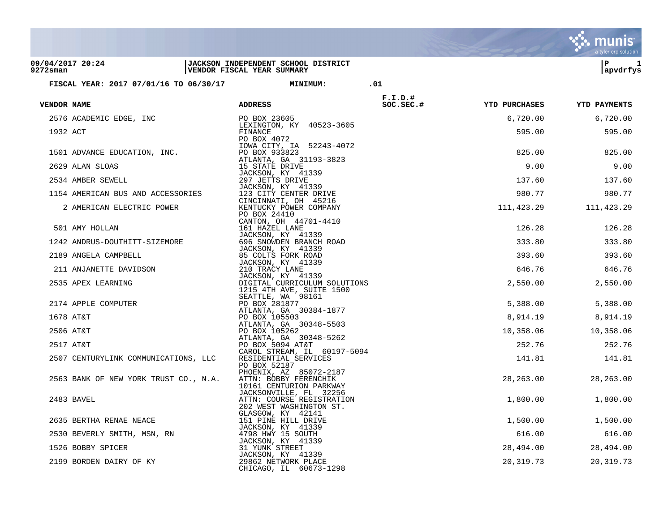|                              |                                        |                                                                   |            |                      | a tyler erp solution |
|------------------------------|----------------------------------------|-------------------------------------------------------------------|------------|----------------------|----------------------|
| 09/04/2017 20:24<br>9272sman |                                        | JACKSON INDEPENDENT SCHOOL DISTRICT<br>VENDOR FISCAL YEAR SUMMARY |            |                      | ΙP<br>1<br>apvdrfys  |
|                              | FISCAL YEAR: 2017 07/01/16 TO 06/30/17 | <b>MINIMUM:</b>                                                   | .01        |                      |                      |
|                              |                                        |                                                                   | $F.I.D.$ # |                      |                      |
| VENDOR NAME                  |                                        | <b>ADDRESS</b>                                                    | $SC.SEC.*$ | <b>YTD PURCHASES</b> | <b>YTD PAYMENTS</b>  |
|                              | 2576 ACADEMIC EDGE, INC                | PO BOX 23605                                                      |            | 6,720.00             | 6,720.00             |
| 1932 ACT                     |                                        | LEXINGTON, KY 40523-3605<br>FINANCE                               |            | 595.00               | 595.00               |
|                              |                                        | PO BOX 4072<br>IOWA CITY, IA 52243-4072                           |            |                      |                      |
|                              | 1501 ADVANCE EDUCATION, INC.           | PO BOX 933823<br>ATLANTA, GA 31193-3823                           |            | 825.00               | 825.00               |
|                              | 2629 ALAN SLOAS                        | 15 STATE DRIVE                                                    |            | 9.00                 | 9.00                 |
|                              | 2534 AMBER SEWELL                      | JACKSON, KY 41339<br>297 JETTS DRIVE                              |            | 137.60               | 137.60               |
|                              | 1154 AMERICAN BUS AND ACCESSORIES      | JACKSON, KY 41339<br>123 CITY CENTER DRIVE                        |            | 980.77               | 980.77               |
|                              | 2 AMERICAN ELECTRIC POWER              | CINCINNATI, OH 45216<br>KENTUCKY POWER COMPANY                    |            | 111,423.29           | 111,423.29           |
|                              |                                        | PO BOX 24410<br>CANTON, OH 44701-4410                             |            |                      |                      |
|                              | 501 AMY HOLLAN                         | 161 HAZEL LANE                                                    |            | 126.28               | 126.28               |
|                              | 1242 ANDRUS-DOUTHITT-SIZEMORE          | JACKSON, KY 41339<br>696 SNOWDEN BRANCH ROAD                      |            | 333.80               | 333.80               |
|                              | 2189 ANGELA CAMPBELL                   | JACKSON, KY 41339<br>85 COLTS FORK ROAD                           |            | 393.60               | 393.60               |
|                              | 211 ANJANETTE DAVIDSON                 | JACKSON, KY 41339<br>210 TRACY LANE                               |            | 646.76               | 646.76               |
|                              | 2535 APEX LEARNING                     | JACKSON, KY 41339<br>DIGITAL CURRICULUM SOLUTIONS                 |            | 2,550.00             | 2,550.00             |
|                              |                                        | 1215 4TH AVE, SUITE 1500                                          |            |                      |                      |
|                              | 2174 APPLE COMPUTER                    | SEATTLE, WA 98161<br>PO BOX 281877                                |            | 5,388.00             | 5,388.00             |
|                              | 1678 AT&T                              | ATLANTA, GA 30384-1877<br>PO BOX 105503                           |            | 8,914.19             | 8,914.19             |
|                              | 2506 AT&T                              | ATLANTA, GA 30348-5503<br>PO BOX 105262                           |            | 10,358.06            | 10,358.06            |
|                              | 2517 AT&T                              | ATLANTA, GA 30348-5262<br>PO BOX 5094 AT&T                        |            | 252.76               | 252.76               |
|                              |                                        | CAROL STREAM, IL 60197-5094                                       |            |                      |                      |
|                              | 2507 CENTURYLINK COMMUNICATIONS, LLC   | RESIDENTIAL SERVICES<br>PO BOX 52187                              |            | 141.81               | 141.81               |
|                              | 2563 BANK OF NEW YORK TRUST CO., N.A.  | PHOENIX, AZ 85072-2187<br>ATTN: BOBBY FERENCHIK                   |            | 28,263.00            | 28,263.00            |
|                              |                                        | 10161 CENTURION PARKWAY<br>JACKSONVILLE, FL 32256                 |            |                      |                      |
|                              | 2483 BAVEL                             | ATTN: COURSE REGISTRATION<br>202 WEST WASHINGTON ST.              |            | 1,800.00             | 1,800.00             |
|                              |                                        | GLASGOW, KY 42141                                                 |            |                      |                      |
|                              | 2635 BERTHA RENAE NEACE                | 151 PINE HILL DRIVE<br>JACKSON, KY 41339                          |            | 1,500.00             | 1,500.00             |
|                              | 2530 BEVERLY SMITH, MSN, RN            | 4798 HWY 15 SOUTH<br>JACKSON, KY 41339                            |            | 616.00               | 616.00               |
|                              | 1526 BOBBY SPICER                      | 31 YUNK STREET<br>JACKSON, KY 41339                               |            | 28,494.00            | 28,494.00            |
|                              | 2199 BORDEN DAIRY OF KY                | 29862 NETWORK PLACE<br>CHICAGO, IL 60673-1298                     |            | 20, 319.73           | 20, 319.73           |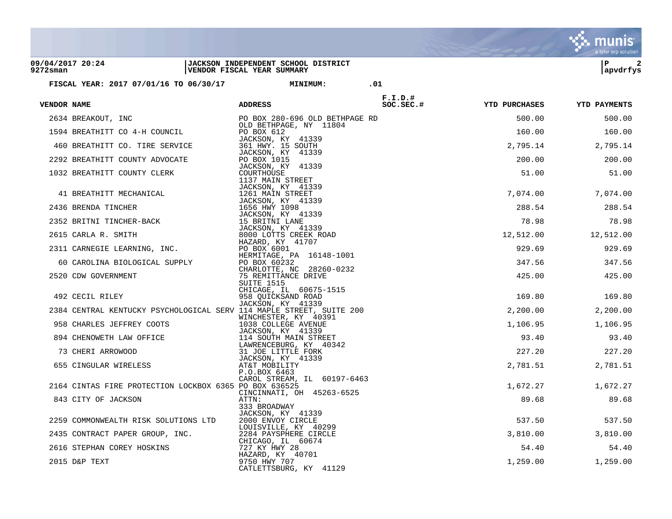| 09/04/2017 20:24<br>9272sman |                                                                                                                                                                                                                                                | JACKSON INDEPENDENT SCHOOL DISTRICT<br>VENDOR FISCAL YEAR SUMMARY |            |          | l P<br>apvdrfys        |
|------------------------------|------------------------------------------------------------------------------------------------------------------------------------------------------------------------------------------------------------------------------------------------|-------------------------------------------------------------------|------------|----------|------------------------|
|                              | FISCAL YEAR: 2017 07/01/16 TO 06/30/17 MINIMUM: 01                                                                                                                                                                                             |                                                                   |            |          |                        |
| VENDOR NAME                  | <b>ADDRESS</b>                                                                                                                                                                                                                                 |                                                                   | $F.I.D.$ # |          |                        |
|                              |                                                                                                                                                                                                                                                |                                                                   |            | 500.00   | 500.00                 |
|                              |                                                                                                                                                                                                                                                |                                                                   |            | 160.00   | 160.00                 |
|                              |                                                                                                                                                                                                                                                |                                                                   |            |          | 2,795.14 2,795.14      |
|                              |                                                                                                                                                                                                                                                |                                                                   |            | 200.00   | 200.00                 |
|                              | <b>ENDORMANE ADDRESS</b><br>SOC.<br>2634 BREAKOUT, INC PO BOX 280-696 OLD BETHPAGE RD<br>1594 BREATHITT CO 4-H COUNCILL<br>2010 BETHPAGE, NY 11804<br>460 BREATHITT COUNTY ADVOCATE JACKSON, KY 41339<br>2292 BREATHITT COUNTY ADVOCATE PO BOX |                                                                   |            | 51.00    | 51.00                  |
|                              |                                                                                                                                                                                                                                                |                                                                   |            |          | 7,074.00 7,074.00      |
|                              |                                                                                                                                                                                                                                                |                                                                   |            | 288.54   | 288.54                 |
|                              |                                                                                                                                                                                                                                                |                                                                   |            |          | 78.98 78.98            |
|                              |                                                                                                                                                                                                                                                |                                                                   |            |          | 12,512.00    12,512.00 |
|                              |                                                                                                                                                                                                                                                |                                                                   |            | 929.69   | 929.69                 |
|                              |                                                                                                                                                                                                                                                |                                                                   |            | 347.56   | 347.56                 |
|                              |                                                                                                                                                                                                                                                |                                                                   |            | 425.00   | 425.00                 |
|                              | 492 CECIL RILEY                                                                                                                                                                                                                                | CHICAGE, IL 60675-1515<br>958 QUICKSAND ROAD<br>JACKSON, KY 41339 |            |          | 169.80 169.80          |
|                              | 2384 CENTRAL KENTUCKY PSYCHOLOGICAL SERV 114 MAPLE STREET, SUITE 200                                                                                                                                                                           |                                                                   |            |          | 2,200.00 2,200.00      |
|                              |                                                                                                                                                                                                                                                |                                                                   |            |          | 1,106.95 1,106.95      |
|                              |                                                                                                                                                                                                                                                |                                                                   |            | 93.40    | 93.40                  |
|                              |                                                                                                                                                                                                                                                |                                                                   |            |          | 227.20 227.20          |
|                              | 958 CHARLES JEFFREY COOTS WINCHESTER, KY 40391<br>894 CHENOWETH LAW OFFICE<br>73 CHERI ARROWOOD JACKSON, KY 40342<br>655 CINGULAR WIRELESS<br>894 CHENOWETH LAW OFFICE<br>73 CHERI ARROWOOD 31 JOE LITTLE FORK<br>655 CINGULAR WIRELESS<br>8   |                                                                   |            |          | 2,781.51 2,781.51      |
|                              | 2164 CINTAS FIRE PROTECTION LOCKBOX 6365 PO BOX 636525                                                                                                                                                                                         | CAROL STREAM, IL 60197-6463<br>CINCINNATI, OH 45263-6525          |            |          | 1,672.27 1,672.27      |
|                              | 843 CITY OF JACKSON                                                                                                                                                                                                                            | ATTN:<br>333 BROADWAY                                             |            | 89.68    | 89.68                  |
|                              |                                                                                                                                                                                                                                                | JACKSON, KY 41339                                                 |            |          | 537.50 537.50          |
|                              |                                                                                                                                                                                                                                                |                                                                   |            |          | 3,810.00 3,810.00      |
|                              | 2259 COMMONWEALTH RISK SOLUTIONS LTD<br>2435 CONTRACT PAPER GROUP, INC.<br>2435 CONTRACT PAPER GROUP, INC.<br>2284 PAYSPHERE CIRCLE<br>2616 STEPHAN COREY HOSKINS<br>227 KY HWY 28<br>HAZARD, KY 10701                                         |                                                                   |            | 54.40    | 54.40                  |
|                              | 2015 D&P TEXT                                                                                                                                                                                                                                  | HAZARD, KY 40701<br>9750 HWY 707                                  |            | 1,259.00 | 1,259.00               |

 $\ddot{\ddot{\mathbf{w}}}$  munis

CATLETTSBURG, KY 41129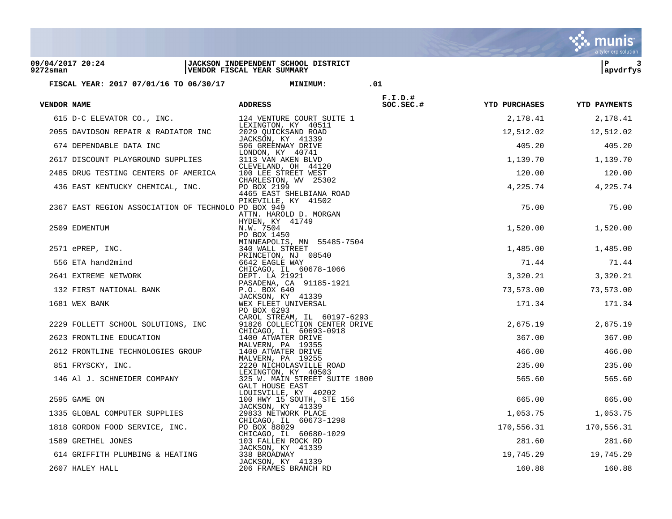|                              |                                                     |                                                                   |                         |                                   | a tyler erp solution |
|------------------------------|-----------------------------------------------------|-------------------------------------------------------------------|-------------------------|-----------------------------------|----------------------|
| 09/04/2017 20:24<br>9272sman |                                                     | JACKSON INDEPENDENT SCHOOL DISTRICT<br>VENDOR FISCAL YEAR SUMMARY |                         |                                   | lР<br>3<br>apvdrfys  |
|                              | FISCAL YEAR: 2017 07/01/16 TO 06/30/17              | <b>MINIMUM:</b>                                                   | .01                     |                                   |                      |
|                              |                                                     |                                                                   |                         |                                   |                      |
| VENDOR NAME                  |                                                     | <b>ADDRESS</b>                                                    | $F.I.D.$ #<br>SOC.SEC.# | <b>YTD PURCHASES YTD PAYMENTS</b> |                      |
|                              | 615 D-C ELEVATOR CO., INC.                          | 124 VENTURE COURT SUITE 1                                         |                         | 2,178.41                          | 2,178.41             |
|                              | 2055 DAVIDSON REPAIR & RADIATOR INC                 | LEXINGTON, KY 40511<br>2029 QUICKSAND ROAD                        |                         |                                   | 12,512.02 12,512.02  |
|                              | 674 DEPENDABLE DATA INC                             | JACKSON, KY 41339<br>506 GREENWAY DRIVE                           |                         | 405.20                            | 405.20               |
|                              | 2617 DISCOUNT PLAYGROUND SUPPLIES                   | LONDON, KY 40741<br>3113 VAN AKEN BLVD                            |                         | 1,139.70                          | 1,139.70             |
|                              | 2485 DRUG TESTING CENTERS OF AMERICA                | CLEVELAND, OH 44120<br>100 LEE STREET WEST                        |                         | 120.00                            | 120.00               |
|                              | 436 EAST KENTUCKY CHEMICAL, INC.                    | CHARLESTON, WV 25302<br>PO BOX 2199                               |                         | 4,225.74                          | 4,225.74             |
|                              |                                                     | 4465 EAST SHELBIANA ROAD<br>PIKEVILLE, KY 41502                   |                         |                                   |                      |
|                              | 2367 EAST REGION ASSOCIATION OF TECHNOLO PO BOX 949 | ATTN. HAROLD D. MORGAN                                            |                         | 75.00                             | 75.00                |
|                              | 2509 EDMENTUM                                       | HYDEN, KY 41749<br>N.W. 7504                                      |                         | 1,520.00                          | 1,520.00             |
|                              |                                                     | PO BOX 1450<br>MINNEAPOLIS, MN 55485-7504                         |                         |                                   |                      |
|                              | 2571 ePREP, INC.                                    | 340 WALL STREET                                                   |                         | 1,485.00                          | 1,485.00             |
|                              | 556 ETA hand2mind                                   | PRINCETON, NJ 08540<br>6642 EAGLE WAY                             |                         | 71.44                             | 71.44                |
|                              | 2641 EXTREME NETWORK                                | CHICAGO, IL 60678-1066<br>DEPT. LA 21921                          |                         | 3,320.21                          | 3,320.21             |
|                              | 132 FIRST NATIONAL BANK                             | PASADENA, CA 91185-1921<br>P.O. BOX 640                           |                         | 73,573.00                         | 73,573.00            |
|                              | 1681 WEX BANK                                       | JACKSON, KY 41339<br>WEX FLEET UNIVERSAL                          |                         | 171.34                            | 171.34               |
|                              |                                                     | PO BOX 6293<br>CAROL STREAM, IL 60197-6293                        |                         |                                   |                      |
|                              | 2229 FOLLETT SCHOOL SOLUTIONS, INC                  | 91826 COLLECTION CENTER DRIVE<br>CHICAGO, IL 60693-0918           |                         | 2,675.19                          | 2,675.19             |
|                              | 2623 FRONTLINE EDUCATION                            | 1400 ATWATER DRIVE<br>MALVERN, PA 19355                           |                         | 367.00                            | 367.00               |
|                              | 2612 FRONTLINE TECHNOLOGIES GROUP                   | 1400 ATWATER DRIVE                                                |                         | 466.00                            | 466.00               |
|                              | 851 FRYSCKY, INC.                                   | MALVERN, PA 19255<br>2220 NICHOLASVILLE ROAD                      |                         | 235.00                            | 235.00               |
|                              | 146 Al J. SCHNEIDER COMPANY                         | LEXINGTON, KY 40503<br>325 W. MAIN STREET SUITE 1800              |                         | 565.60                            | 565.60               |
|                              |                                                     | GALT HOUSE EAST<br>LOUISVILLE, KY 40202                           |                         |                                   |                      |
|                              | 2595 GAME ON                                        | 100 HWY 15 SOUTH, STE 156<br>JACKSON, KY 41339                    |                         | 665.00                            | 665.00               |
|                              | 1335 GLOBAL COMPUTER SUPPLIES                       | 29833 NETWORK PLACE<br>CHICAGO, IL 60673-1298                     |                         | 1,053.75                          | 1,053.75             |
|                              | 1818 GORDON FOOD SERVICE, INC.                      | PO BOX 88029<br>CHICAGO, IL 60680-1029                            |                         | 170,556.31                        | 170,556.31           |
|                              | 1589 GRETHEL JONES                                  | 103 FALLEN ROCK RD<br>JACKSON, KY 41339                           |                         | 281.60                            | 281.60               |
|                              | 614 GRIFFITH PLUMBING & HEATING                     | 338 BROADWAY                                                      |                         | 19,745.29                         | 19,745.29            |
|                              | 2607 HALEY HALL                                     | JACKSON, KY 41339<br>206 FRAMES BRANCH RD                         |                         | 160.88                            | 160.88               |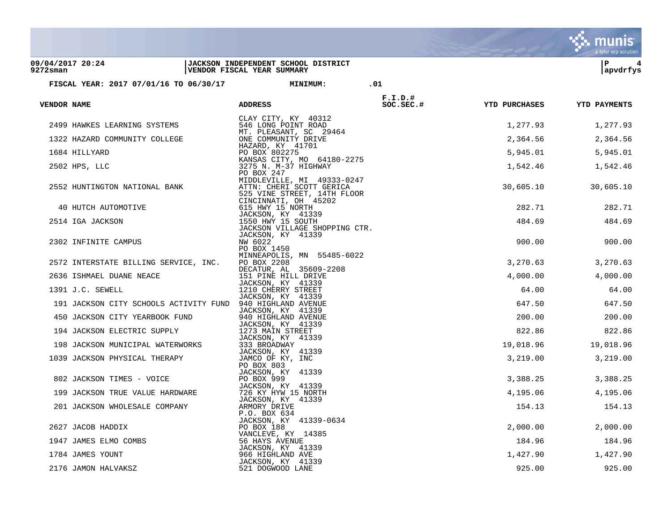|                                 |                                                            |                                                                                                               |                         |                      | <b>munis</b><br>a tyler erp solution |
|---------------------------------|------------------------------------------------------------|---------------------------------------------------------------------------------------------------------------|-------------------------|----------------------|--------------------------------------|
| 09/04/2017 20:24<br>$9272$ sman |                                                            | <b>JACKSON INDEPENDENT SCHOOL DISTRICT</b><br>VENDOR FISCAL YEAR SUMMARY                                      |                         |                      | ΙP<br>4<br>apvdrfys                  |
|                                 | FISCAL YEAR: 2017 07/01/16 TO 06/30/17                     | <b>MINIMUM:</b>                                                                                               | .01                     |                      |                                      |
| <b>VENDOR NAME</b>              |                                                            | <b>ADDRESS</b>                                                                                                | $F.I.D.$ #<br>SOC.SEC.# | <b>YTD PURCHASES</b> | <b>YTD PAYMENTS</b>                  |
|                                 | 2499 HAWKES LEARNING SYSTEMS                               | CLAY CITY, KY 40312<br>546 LONG POINT ROAD<br>MT. PLEASANT, SC 29464                                          |                         | 1,277.93             | 1,277.93                             |
|                                 | 1322 HAZARD COMMUNITY COLLEGE                              | ONE COMMUNITY DRIVE                                                                                           |                         | 2,364.56             | 2,364.56                             |
|                                 | 1684 HILLYARD                                              | HAZARD, KY 41701<br>PO BOX 802275                                                                             |                         | 5,945.01             | 5,945.01                             |
|                                 | 2502 HPS, LLC                                              | KANSAS CITY, MO 64180-2275<br>3275 N. M-37 HIGHWAY<br>PO BOX 247                                              |                         | 1,542.46             | 1,542.46                             |
|                                 | 2552 HUNTINGTON NATIONAL BANK                              | MIDDLEVILLE, MI 49333-0247<br>ATTN: CHERI SCOTT GERICA<br>525 VINE STREET, 14TH FLOOR<br>CINCINNATI, OH 45202 |                         | 30,605.10            | 30,605.10                            |
|                                 | 40 HUTCH AUTOMOTIVE                                        | 615 HWY 15 NORTH                                                                                              |                         | 282.71               | 282.71                               |
|                                 | 2514 IGA JACKSON                                           | JACKSON, KY 41339<br>1550 HWY 15 SOUTH<br>JACKSON VILLAGE SHOPPING CTR.                                       |                         | 484.69               | 484.69                               |
|                                 | 2302 INFINITE CAMPUS                                       | JACKSON, KY 41339<br>NW 6022<br>PO BOX 1450                                                                   |                         | 900.00               | 900.00                               |
|                                 | 2572 INTERSTATE BILLING SERVICE, INC.                      | MINNEAPOLIS, MN 55485-6022<br>PO BOX 2208<br>DECATUR, AL 35609-2208                                           |                         | 3,270.63             | 3,270.63                             |
|                                 | 2636 ISHMAEL DUANE NEACE                                   | 151 PINE HILL DRIVE                                                                                           |                         | 4,000.00             | 4,000.00                             |
|                                 | 1391 J.C. SEWELL                                           | JACKSON, KY 41339<br>1210 CHERRY STREET                                                                       |                         | 64.00                | 64.00                                |
|                                 | 191 JACKSON CITY SCHOOLS ACTIVITY FUND 940 HIGHLAND AVENUE | JACKSON, KY 41339<br>JACKSON, KY 41339                                                                        |                         | 647.50               | 647.50                               |
|                                 | 450 JACKSON CITY YEARBOOK FUND                             | 940 HIGHLAND AVENUE                                                                                           |                         | 200.00               | 200.00                               |
|                                 | 194 JACKSON ELECTRIC SUPPLY                                | JACKSON, KY 41339<br>1273 MAIN STREET                                                                         |                         | 822.86               | 822.86                               |
|                                 | 198 JACKSON MUNICIPAL WATERWORKS                           | JACKSON, KY 41339<br>333 BROADWAY                                                                             |                         | 19,018.96            | 19,018.96                            |
|                                 | 1039 JACKSON PHYSICAL THERAPY                              | JACKSON, KY 41339<br>JAMCO OF KY, INC                                                                         |                         | 3,219.00             | 3,219.00                             |
|                                 | 802 JACKSON TIMES - VOICE                                  | PO BOX 803<br>JACKSON, KY 41339<br>PO BOX 999                                                                 |                         | 3,388.25             | 3,388.25                             |
|                                 | 199 JACKSON TRUE VALUE HARDWARE                            | JACKSON, KY 41339<br>726 KY HYW 15 NORTH                                                                      |                         | 4,195.06             | 4,195.06                             |
|                                 | 201 JACKSON WHOLESALE COMPANY                              | JACKSON, KY 41339<br>ARMORY DRIVE<br>P.O. BOX 634                                                             |                         | 154.13               | 154.13                               |
|                                 | 2627 JACOB HADDIX                                          | JACKSON, KY 41339-0634<br>PO BOX 188                                                                          |                         | 2,000.00             | 2,000.00                             |
|                                 | 1947 JAMES ELMO COMBS                                      | VANCLEVE, KY 14385<br>56 HAYS AVENUE                                                                          |                         | 184.96               | 184.96                               |
|                                 | 1784 JAMES YOUNT                                           | JACKSON, KY 41339<br>966 HIGHLAND AVE<br>JACKSON, KY 41339                                                    |                         | 1,427.90             | 1,427.90                             |
|                                 | 2176 JAMON HALVAKSZ                                        | 521 DOGWOOD LANE                                                                                              |                         | 925.00               | 925.00                               |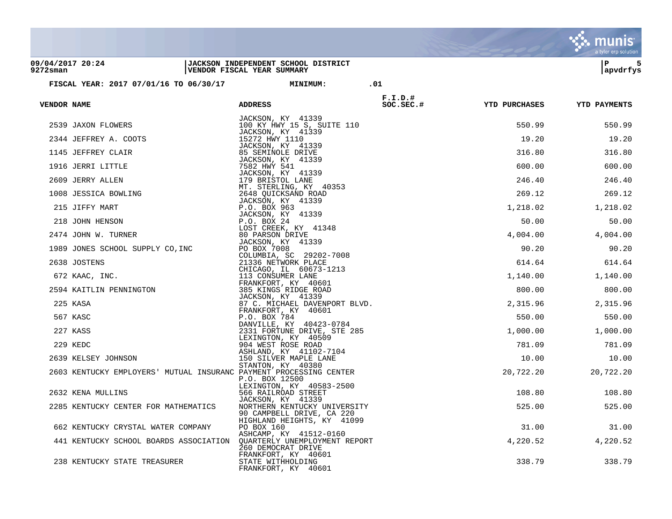|                                 |                                                                    |                                                                   |                           |                      | a tyler erp solution |
|---------------------------------|--------------------------------------------------------------------|-------------------------------------------------------------------|---------------------------|----------------------|----------------------|
| 09/04/2017 20:24<br>$9272$ sman |                                                                    | JACKSON INDEPENDENT SCHOOL DISTRICT<br>VENDOR FISCAL YEAR SUMMARY |                           |                      | ΙP<br>5<br>apvdrfys  |
|                                 | FISCAL YEAR: 2017 07/01/16 TO 06/30/17                             | <b>MINIMUM:</b>                                                   | .01                       |                      |                      |
|                                 |                                                                    |                                                                   |                           |                      |                      |
| <b>VENDOR NAME</b>              |                                                                    | <b>ADDRESS</b>                                                    | $F.I.D.$ #<br>$SC.SEC.$ # | <b>YTD PURCHASES</b> | <b>YTD PAYMENTS</b>  |
|                                 | 2539 JAXON FLOWERS                                                 | JACKSON, KY 41339<br>100 KY HWY 15 S, SUITE 110                   |                           | 550.99               | 550.99               |
|                                 | 2344 JEFFREY A. COOTS                                              | JACKSON, KY 41339<br>15272 HWY 1110                               |                           | 19.20                | 19.20                |
|                                 | 1145 JEFFREY CLAIR                                                 | JACKSON, KY 41339<br>85 SEMINOLE DRIVE                            |                           | 316.80               | 316.80               |
|                                 | 1916 JERRI LITTLE                                                  | JACKSON, KY 41339<br>7582 HWY 541                                 |                           | 600.00               | 600.00               |
|                                 |                                                                    | JACKSON, KY 41339                                                 |                           |                      |                      |
|                                 | 2609 JERRY ALLEN                                                   | 179 BRISTOL LANE<br>MT. STERLING, KY 40353                        |                           | 246.40               | 246.40               |
|                                 | 1008 JESSICA BOWLING                                               | 2648 QUICKSAND ROAD<br>JACKSON, KY 41339                          |                           | 269.12               | 269.12               |
|                                 | 215 JIFFY MART                                                     | P.O. BOX 963                                                      |                           | 1,218.02             | 1,218.02             |
|                                 | 218 JOHN HENSON                                                    | JACKSON, KY 41339<br>P.O. BOX 24                                  |                           | 50.00                | 50.00                |
|                                 | 2474 JOHN W. TURNER                                                | LOST CREEK, KY 41348<br>80 PARSON DRIVE                           |                           | 4,004.00             | 4,004.00             |
|                                 | 1989 JONES SCHOOL SUPPLY CO, INC                                   | JACKSON, KY 41339<br>PO BOX 7008                                  |                           | 90.20                | 90.20                |
|                                 |                                                                    | COLUMBIA, SC 29202-7008                                           |                           |                      |                      |
|                                 | 2638 JOSTENS                                                       | 21336 NETWORK PLACE<br>CHICAGO, IL 60673-1213                     |                           | 614.64               | 614.64               |
|                                 | 672 KAAC, INC.                                                     | 113 CONSUMER LANE<br>FRANKFORT, KY 40601                          |                           | 1,140.00             | 1,140.00             |
|                                 | 2594 KAITLIN PENNINGTON                                            | 385 KINGS RIDGE ROAD                                              |                           | 800.00               | 800.00               |
|                                 | 225 KASA                                                           | JACKSON, KY 41339<br>87 C. MICHAEL DAVENPORT BLVD.                |                           | 2,315.96             | 2,315.96             |
|                                 | 567 KASC                                                           | FRANKFORT, KY 40601<br>P.O. BOX 784                               |                           | 550.00               | 550.00               |
|                                 | 227 KASS                                                           | DANVILLE, KY 40423-0784<br>2331 FORTUNE DRIVE, STE 285            |                           | 1,000.00             | 1,000.00             |
|                                 |                                                                    | LEXINGTON, KY 40509                                               |                           |                      |                      |
|                                 | 229 KEDC                                                           | 904 WEST ROSE ROAD<br>ASHLAND, KY 41102-7104                      |                           | 781.09               | 781.09               |
|                                 | 2639 KELSEY JOHNSON                                                | 150 SILVER MAPLE LANE                                             |                           | 10.00                | 10.00                |
|                                 | 2603 KENTUCKY EMPLOYERS' MUTUAL INSURANC PAYMENT PROCESSING CENTER | STANTON, KY 40380<br>P.O. BOX 12500                               |                           | 20,722.20            | 20,722.20            |
|                                 | 2632 KENA MULLINS                                                  | LEXINGTON, KY 40583-2500<br>566 RAILROAD STREET                   |                           | 108.80               | 108.80               |
|                                 | 2285 KENTUCKY CENTER FOR MATHEMATICS                               | JACKSON, KY 41339                                                 |                           |                      |                      |
|                                 |                                                                    | NORTHERN KENTUCKY UNIVERSITY<br>90 CAMPBELL DRIVE, CA 220         |                           | 525.00               | 525.00               |
|                                 | 662 KENTUCKY CRYSTAL WATER COMPANY                                 | HIGHLAND HEIGHTS, KY 41099<br>PO BOX 160                          |                           | 31.00                | 31.00                |
|                                 | 441 KENTUCKY SCHOOL BOARDS ASSOCIATION                             | ASHCAMP, KY 41512-0160<br>QUARTERLY UNEMPLOYMENT REPORT           |                           | 4,220.52             | 4,220.52             |
|                                 |                                                                    | 260 DEMOCRAT DRIVE                                                |                           |                      |                      |
|                                 | 238 KENTUCKY STATE TREASURER                                       | FRANKFORT, KY 40601<br>STATE WITHHOLDING<br>FRANKFORT, KY 40601   |                           | 338.79               | 338.79               |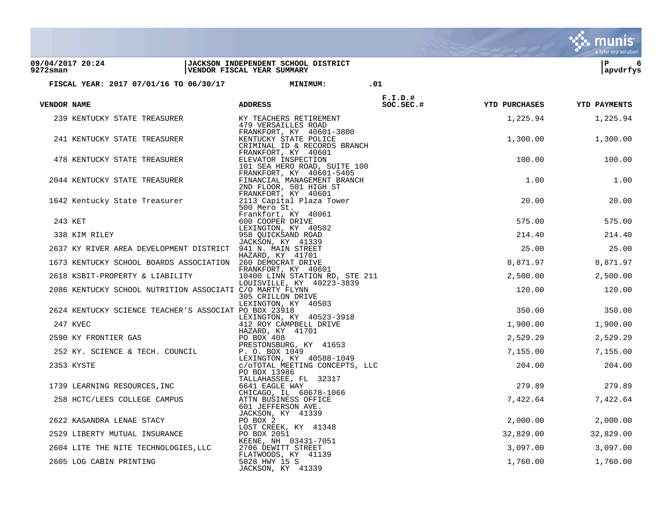|             |                                                            |                                                                                    |            |                      | a tyler erp solution |
|-------------|------------------------------------------------------------|------------------------------------------------------------------------------------|------------|----------------------|----------------------|
| $9272$ sman | 09/04/2017 20:24                                           | JACKSON INDEPENDENT SCHOOL DISTRICT<br>VENDOR FISCAL YEAR SUMMARY                  |            |                      | ∣P<br>6<br>apvdrfys  |
|             | FISCAL YEAR: 2017 07/01/16 TO 06/30/17                     | <b>MINIMUM:</b>                                                                    | .01        |                      |                      |
|             |                                                            |                                                                                    | $F.I.D.$ # |                      |                      |
| VENDOR NAME |                                                            | <b>ADDRESS</b>                                                                     | SOC.SEC.#  | <b>YTD PURCHASES</b> | <b>YTD PAYMENTS</b>  |
|             | 239 KENTUCKY STATE TREASURER                               | KY TEACHERS RETIREMENT<br>479 VERSAILLES ROAD<br>FRANKFORT, KY 40601-3800          |            | 1,225.94             | 1,225.94             |
|             | 241 KENTUCKY STATE TREASURER                               | KENTUCKY STATE POLICE<br>CRIMINAL ID & RECORDS BRANCH<br>FRANKFORT, KY 40601       |            | 1,300.00             | 1,300.00             |
|             | 478 KENTUCKY STATE TREASURER                               | ELEVATOR INSPECTION<br>101 SEA HERO ROAD, SUITE 100<br>FRANKFORT, KY 40601-5405    |            | 100.00               | 100.00               |
|             | 2044 KENTUCKY STATE TREASURER                              | FINANCIAL MANAGEMENT BRANCH<br>2ND FLOOR, 501 HIGH ST<br>FRANKFORT, KY 40601       |            | 1.00                 | 1.00                 |
|             | 1642 Kentucky State Treasurer                              | 2113 Capital Plaza Tower<br>500 Mero St.<br>Frankfort, KY 40061                    |            | 20.00                | 20.00                |
|             | 243 KET                                                    | 600 COOPER DRIVE                                                                   |            | 575.00               | 575.00               |
|             | 338 KIM RILEY                                              | LEXINGTON, KY 40502<br>958 OUICKSAND ROAD                                          |            | 214.40               | 214.40               |
|             | 2637 KY RIVER AREA DEVELOPMENT DISTRICT 941 N. MAIN STREET | JACKSON, KY 41339                                                                  |            | 25.00                | 25.00                |
|             | 1673 KENTUCKY SCHOOL BOARDS ASSOCIATION 260 DEMOCRAT DRIVE | HAZARD, KY 41701                                                                   |            | 8,871.97             | 8,871.97             |
|             | 2618 KSBIT-PROPERTY & LIABILITY                            | FRANKFORT, KY 40601<br>10400 LINN STATION RD, STE 211<br>LOUISVILLE, KY 40223-3839 |            | 2,500.00             | 2,500.00             |
|             | 2086 KENTUCKY SCHOOL NUTRITION ASSOCIATI C/O MARTY FLYNN   | 305 CRILLON DRIVE<br>LEXINGTON, KY 40503                                           |            | 120.00               | 120.00               |
|             | 2624 KENTUCKY SCIENCE TEACHER'S ASSOCIAT PO BOX 23918      |                                                                                    |            | 350.00               | 350.00               |
|             | 247 KVEC                                                   | LEXINGTON, KY 40523-3918<br>412 ROY CAMPBELL DRIVE                                 |            | 1,900.00             | 1,900.00             |
|             | 2590 KY FRONTIER GAS                                       | HAZARD, KY 41701<br>PO BOX 408                                                     |            | 2,529.29             | 2,529.29             |
|             | 252 KY. SCIENCE & TECH. COUNCIL                            | PRESTONSBURG, KY 41653<br>P. O. BOX 1049                                           |            | 7,155.00             | 7,155.00             |
|             | 2353 KYSTE                                                 | LEXINGTON, KY 40588-1049<br>C/OTOTAL MEETING CONCEPTS, LLC<br>PO BOX 13986         |            | 204.00               | 204.00               |
|             | 1739 LEARNING RESOURCES, INC                               | TALLAHASSEE, FL 32317<br>6641 EAGLE WAY                                            |            | 279.89               | 279.89               |
|             | 258 HCTC/LEES COLLEGE CAMPUS                               | CHICAGO, IL 60678-1066<br>ATTN BUSINESS OFFICE<br>601 JEFFERSON AVE.               |            | 7,422.64             | 7,422.64             |
|             | 2622 KASANDRA LENAE STACY                                  | JACKSON, KY 41339<br>PO BOX 2                                                      |            | 2,000.00             | 2,000.00             |
|             | 2529 LIBERTY MUTUAL INSURANCE                              | LOST CREEK, KY 41348<br>PO BOX 2051                                                |            | 32,829.00            | 32,829.00            |
|             | 2604 LITE THE NITE TECHNOLOGIES, LLC                       | KEENE, NH 03431-7051<br>2706 DEWITT STREET                                         |            | 3,097.00             | 3,097.00             |
|             | 2605 LOG CABIN PRINTING                                    | FLATWOODS, KY 41139<br>5028 HWY 15 S<br>JACKSON, KY 41339                          |            | 1,760.00             | 1,760.00             |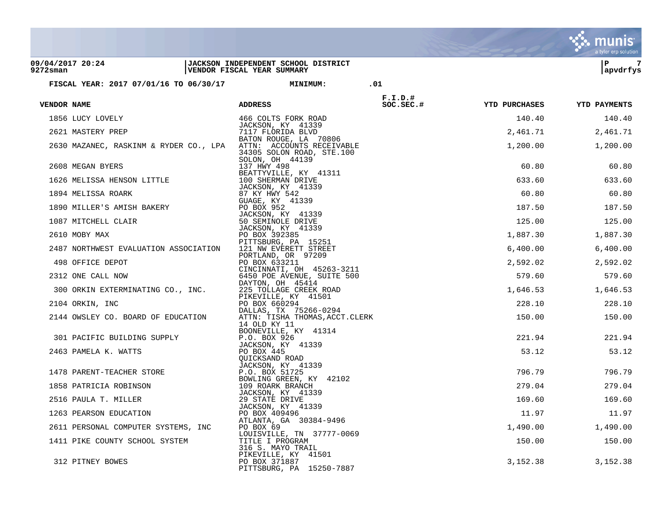|                                        |                                                                                 |                         |                      | a tyler erp solution |
|----------------------------------------|---------------------------------------------------------------------------------|-------------------------|----------------------|----------------------|
| 09/04/2017 20:24<br>$9272$ sman        | JACKSON INDEPENDENT SCHOOL DISTRICT<br>VENDOR FISCAL YEAR SUMMARY               |                         |                      | ΙP<br>7<br>apvdrfys  |
|                                        |                                                                                 |                         |                      |                      |
| FISCAL YEAR: 2017 07/01/16 TO 06/30/17 | <b>MINIMUM:</b>                                                                 | .01                     |                      |                      |
| VENDOR NAME                            | <b>ADDRESS</b>                                                                  | $F.I.D.$ #<br>SOC.SEC.# | <b>YTD PURCHASES</b> | <b>YTD PAYMENTS</b>  |
| 1856 LUCY LOVELY                       | 466 COLTS FORK ROAD                                                             |                         | 140.40               | 140.40               |
| 2621 MASTERY PREP                      | JACKSON, KY 41339<br>7117 FLORIDA BLVD                                          |                         | 2,461.71             | 2,461.71             |
| 2630 MAZANEC, RASKINM & RYDER CO., LPA | BATON ROUGE, LA 70806<br>ATTN: ACCOUNTS RECEIVABLE<br>34305 SOLON ROAD, STE.100 |                         | 1,200.00             | 1,200.00             |
| 2608 MEGAN BYERS                       | SOLON, OH 44139<br>137 HWY 498                                                  |                         | 60.80                | 60.80                |
| 1626 MELISSA HENSON LITTLE             | BEATTYVILLE, KY 41311<br>100 SHERMAN DRIVE                                      |                         | 633.60               | 633.60               |
| 1894 MELISSA ROARK                     | JACKSON, KY 41339<br>87 KY HWY 542                                              |                         | 60.80                | 60.80                |
| 1890 MILLER'S AMISH BAKERY             | GUAGE, KY 41339<br>PO BOX 952                                                   |                         | 187.50               | 187.50               |
| 1087 MITCHELL CLAIR                    | JACKSON, KY 41339<br>50 SEMINOLE DRIVE                                          |                         | 125.00               | 125.00               |
| 2610 MOBY MAX                          | JACKSON, KY 41339<br>PO BOX 392385                                              |                         | 1,887.30             | 1,887.30             |
| 2487 NORTHWEST EVALUATION ASSOCIATION  | PITTSBURG, PA 15251<br>121 NW EVERETT STREET                                    |                         | 6,400.00             | 6,400.00             |
| 498 OFFICE DEPOT                       | PORTLAND, OR 97209<br>PO BOX 633211                                             |                         | 2,592.02             | 2,592.02             |
| 2312 ONE CALL NOW                      | CINCINNATI, OH 45263-3211<br>6450 POE AVENUE, SUITE 500                         |                         | 579.60               | 579.60               |
|                                        | DAYTON, OH 45414                                                                |                         |                      |                      |
| 300 ORKIN EXTERMINATING CO., INC.      | 225 TOLLAGE CREEK ROAD<br>PIKEVILLE, KY 41501                                   |                         | 1,646.53             | 1,646.53             |
| 2104 ORKIN, INC                        | PO BOX 660294<br>DALLAS, TX 75266-0294                                          |                         | 228.10               | 228.10               |
| 2144 OWSLEY CO. BOARD OF EDUCATION     | ATTN: TISHA THOMAS, ACCT. CLERK<br>14 OLD KY 11                                 |                         | 150.00               | 150.00               |
| 301 PACIFIC BUILDING SUPPLY            | BOONEVILLE, KY 41314<br>P.O. BOX 926                                            |                         | 221.94               | 221.94               |
| 2463 PAMELA K. WATTS                   | JACKSON, KY 41339<br>PO BOX 445<br>QUICKSAND ROAD                               |                         | 53.12                | 53.12                |
| 1478 PARENT-TEACHER STORE              | JACKSON, KY 41339<br>P.O. BOX 51725                                             |                         | 796.79               | 796.79               |
| 1858 PATRICIA ROBINSON                 | BOWLING GREEN, KY 42102<br>109 ROARK BRANCH                                     |                         | 279.04               | 279.04               |
| 2516 PAULA T. MILLER                   | JACKSON, KY 41339<br>29 STATE DRIVE                                             |                         | 169.60               | 169.60               |
| 1263 PEARSON EDUCATION                 | JACKSON, KY 41339<br>PO BOX 409496                                              |                         | 11.97                | 11.97                |
| 2611 PERSONAL COMPUTER SYSTEMS, INC    | ATLANTA, GA 30384-9496<br>PO BOX 69                                             |                         | 1,490.00             | 1,490.00             |
| 1411 PIKE COUNTY SCHOOL SYSTEM         | LOUISVILLE, TN 37777-0069<br>TITLE I PROGRAM<br>316 S. MAYO TRAIL               |                         | 150.00               | 150.00               |
| 312 PITNEY BOWES                       | PIKEVILLE, KY 41501<br>PO BOX 371887<br>PITTSBURG, PA 15250-7887                |                         | 3,152.38             | 3,152.38             |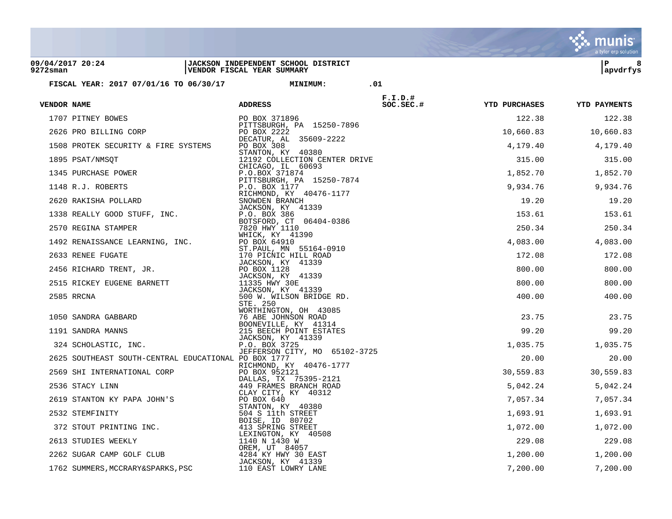|                                 |                                                                                                                                                                                                                                                   |                                                                                                                                                                                                            |                        |                            | a tyler erp solution |
|---------------------------------|---------------------------------------------------------------------------------------------------------------------------------------------------------------------------------------------------------------------------------------------------|------------------------------------------------------------------------------------------------------------------------------------------------------------------------------------------------------------|------------------------|----------------------------|----------------------|
| 09/04/2017 20:24<br>$9272$ sman |                                                                                                                                                                                                                                                   | JACKSON INDEPENDENT SCHOOL DISTRICT<br>VENDOR FISCAL YEAR SUMMARY                                                                                                                                          |                        |                            | 8<br>∣P<br>apvdrfys  |
|                                 | FISCAL YEAR: 2017 07/01/16 TO 06/30/17                                                                                                                                                                                                            | <b>MINIMUM:</b>                                                                                                                                                                                            | .01                    |                            |                      |
| VENDOR NAME                     |                                                                                                                                                                                                                                                   | <b>ADDRESS</b>                                                                                                                                                                                             | $F.I.D.$ #<br>SC.SEC.# | YTD PURCHASES YTD PAYMENTS |                      |
|                                 | 1707 PITNEY BOWES                                                                                                                                                                                                                                 | PO BOX 371896                                                                                                                                                                                              |                        | 122.38                     | 122.38               |
|                                 |                                                                                                                                                                                                                                                   | PITTSBURGH, PA 15250-7896                                                                                                                                                                                  |                        | 10,660.83                  | 10,660.83            |
|                                 |                                                                                                                                                                                                                                                   |                                                                                                                                                                                                            |                        | 4,179.40                   | 4,179.40             |
|                                 |                                                                                                                                                                                                                                                   | 12192 COLLECTION CENTER DRIVE                                                                                                                                                                              |                        | 315.00                     | 315.00               |
|                                 |                                                                                                                                                                                                                                                   |                                                                                                                                                                                                            |                        | 1,852.70                   | 1,852.70             |
|                                 |                                                                                                                                                                                                                                                   |                                                                                                                                                                                                            |                        | 9,934.76                   | 9,934.76             |
|                                 |                                                                                                                                                                                                                                                   |                                                                                                                                                                                                            |                        | 19.20                      | 19.20                |
|                                 |                                                                                                                                                                                                                                                   |                                                                                                                                                                                                            |                        | 153.61                     |                      |
|                                 |                                                                                                                                                                                                                                                   |                                                                                                                                                                                                            |                        |                            | 153.61               |
|                                 |                                                                                                                                                                                                                                                   |                                                                                                                                                                                                            |                        | 250.34                     | 250.34               |
|                                 |                                                                                                                                                                                                                                                   |                                                                                                                                                                                                            |                        | 4,083.00                   | 4,083.00             |
|                                 |                                                                                                                                                                                                                                                   |                                                                                                                                                                                                            |                        | 172.08                     | 172.08               |
|                                 |                                                                                                                                                                                                                                                   |                                                                                                                                                                                                            |                        | 800.00                     | 800.00               |
|                                 |                                                                                                                                                                                                                                                   |                                                                                                                                                                                                            |                        | 800.00                     | 800.00               |
|                                 | FRO BILLING CORP<br>3 PROTEK SECURITY & FIRE SYSTEMS<br>95 PSAT/NMSQT<br>34 PURCHASE POWER<br>24192 COLLECTION CEN---<br>345 PURCHASE POWER<br>148 R.J. ROBERTS<br>149 R.J. ROBERTS<br>2620 RAKISHA POLLARD<br>1338 REALLY GOOD STUFF, INC.<br>16 | 500 W. WILSON BRIDGE RI<br>STE. 250<br>STE. 250<br>WORTHINGTON, OH 43085<br>76 ABE JOHNSON ROAD<br>BOONEVILLE, KY 41314<br>215 BEECH POINT ESTATES<br>JACKSON, KY 41339<br>P.O. BOX 3725<br>NTRAL EDUARTIE |                        | 400.00                     | 400.00               |
|                                 |                                                                                                                                                                                                                                                   |                                                                                                                                                                                                            |                        | 23.75                      | 23.75                |
|                                 | 1191 SANDRA MANNS                                                                                                                                                                                                                                 |                                                                                                                                                                                                            |                        | 99.20                      | 99.20                |
|                                 | 324 SCHOLASTIC, INC.                                                                                                                                                                                                                              |                                                                                                                                                                                                            |                        | 1,035.75                   | 1,035.75             |
|                                 | 2625 SOUTHEAST SOUTH-CENTRAL EDUCATIONAL PO BOX 1777                                                                                                                                                                                              | JEFFERSON CITY, MO 65102-3725                                                                                                                                                                              |                        | 20.00                      | 20.00                |
|                                 |                                                                                                                                                                                                                                                   |                                                                                                                                                                                                            |                        | 30,559.83                  | 30,559.83            |
|                                 |                                                                                                                                                                                                                                                   |                                                                                                                                                                                                            |                        |                            |                      |
|                                 |                                                                                                                                                                                                                                                   |                                                                                                                                                                                                            |                        | 5,042.24                   | 5,042.24             |
|                                 |                                                                                                                                                                                                                                                   |                                                                                                                                                                                                            |                        | 7,057.34                   | 7,057.34             |
|                                 |                                                                                                                                                                                                                                                   |                                                                                                                                                                                                            |                        | 1,693.91                   | 1,693.91             |
|                                 |                                                                                                                                                                                                                                                   |                                                                                                                                                                                                            |                        | 1,072.00                   | 1,072.00             |
|                                 |                                                                                                                                                                                                                                                   |                                                                                                                                                                                                            |                        | 229.08                     | 229.08               |
|                                 |                                                                                                                                                                                                                                                   |                                                                                                                                                                                                            |                        | 1,200.00                   | 1,200.00             |
|                                 |                                                                                                                                                                                                                                                   |                                                                                                                                                                                                            |                        | 7,200.00                   | 7,200.00             |